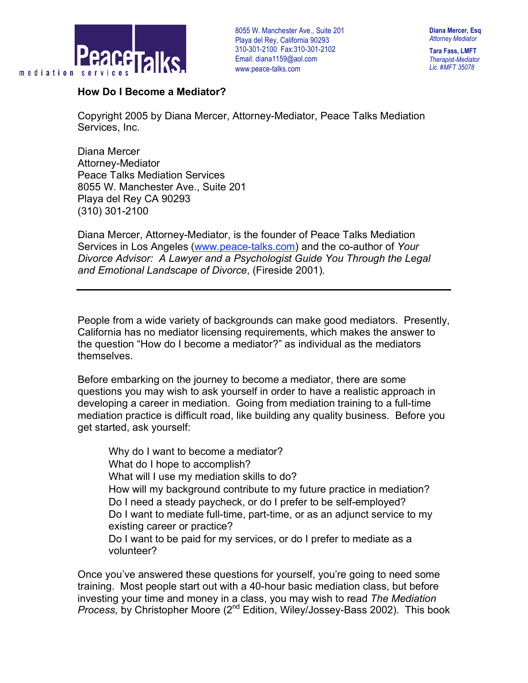

**Tara Fass, LMFT** *Therapist-Mediator Lic. #MFT 35078*

## **How Do I Become a Mediator?**

Copyright 2005 by Diana Mercer, Attorney-Mediator, Peace Talks Mediation Services, Inc.

Diana Mercer Attorney-Mediator Peace Talks Mediation Services 8055 W. Manchester Ave., Suite 201 Playa del Rey CA 90293 (310) 301-2100

Diana Mercer, Attorney-Mediator, is the founder of Peace Talks Mediation Services in Los Angeles (www.peace-talks.com) and the co-author of *Your Divorce Advisor: A Lawyer and a Psychologist Guide You Through the Legal and Emotional Landscape of Divorce*, (Fireside 2001)*.*

People from a wide variety of backgrounds can make good mediators. Presently, California has no mediator licensing requirements, which makes the answer to the question "How do I become a mediator?" as individual as the mediators themselves.

Before embarking on the journey to become a mediator, there are some questions you may wish to ask yourself in order to have a realistic approach in developing a career in mediation. Going from mediation training to a full-time mediation practice is difficult road, like building any quality business. Before you get started, ask yourself:

 Why do I want to become a mediator? What do I hope to accomplish? What will I use my mediation skills to do? How will my background contribute to my future practice in mediation? Do I need a steady paycheck, or do I prefer to be self-employed? Do I want to mediate full-time, part-time, or as an adjunct service to my existing career or practice? Do I want to be paid for my services, or do I prefer to mediate as a volunteer?

Once you've answered these questions for yourself, you're going to need some training. Most people start out with a 40-hour basic mediation class, but before investing your time and money in a class, you may wish to read *The Mediation Process, by Christopher Moore (2<sup>nd</sup> Edition, Wiley/Jossey-Bass 2002). This book*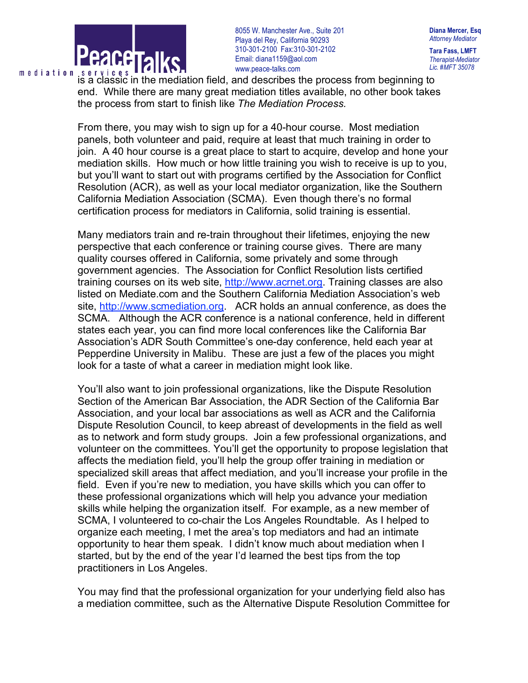

**Diana Mercer, Esq** *Attorney Mediator*

**Tara Fass, LMFT** *Therapist-Mediator Lic. #MFT 35078*

IS A CLASSIC IN THE MATHEMATIC CONSIDERS THE MATHEMATIC IS A Classic in the mediation field, and describes the process from beginning to end. While there are many great mediation titles available, no other book takes the process from start to finish like *The Mediation Process.*

From there, you may wish to sign up for a 40-hour course. Most mediation panels, both volunteer and paid, require at least that much training in order to join. A 40 hour course is a great place to start to acquire, develop and hone your mediation skills. How much or how little training you wish to receive is up to you, but you'll want to start out with programs certified by the Association for Conflict Resolution (ACR), as well as your local mediator organization, like the Southern California Mediation Association (SCMA). Even though there's no formal certification process for mediators in California, solid training is essential.

Many mediators train and re-train throughout their lifetimes, enjoying the new perspective that each conference or training course gives. There are many quality courses offered in California, some privately and some through government agencies. The Association for Conflict Resolution lists certified training courses on its web site, http://www.acrnet.org. Training classes are also listed on Mediate.com and the Southern California Mediation Association's web site, http://www.scmediation.org. ACR holds an annual conference, as does the SCMA. Although the ACR conference is a national conference, held in different states each year, you can find more local conferences like the California Bar Association's ADR South Committee's one-day conference, held each year at Pepperdine University in Malibu. These are just a few of the places you might look for a taste of what a career in mediation might look like.

You'll also want to join professional organizations, like the Dispute Resolution Section of the American Bar Association, the ADR Section of the California Bar Association, and your local bar associations as well as ACR and the California Dispute Resolution Council, to keep abreast of developments in the field as well as to network and form study groups. Join a few professional organizations, and volunteer on the committees. You'll get the opportunity to propose legislation that affects the mediation field, you'll help the group offer training in mediation or specialized skill areas that affect mediation, and you'll increase your profile in the field. Even if you're new to mediation, you have skills which you can offer to these professional organizations which will help you advance your mediation skills while helping the organization itself. For example, as a new member of SCMA, I volunteered to co-chair the Los Angeles Roundtable. As I helped to organize each meeting, I met the area's top mediators and had an intimate opportunity to hear them speak. I didn't know much about mediation when I started, but by the end of the year I'd learned the best tips from the top practitioners in Los Angeles.

You may find that the professional organization for your underlying field also has a mediation committee, such as the Alternative Dispute Resolution Committee for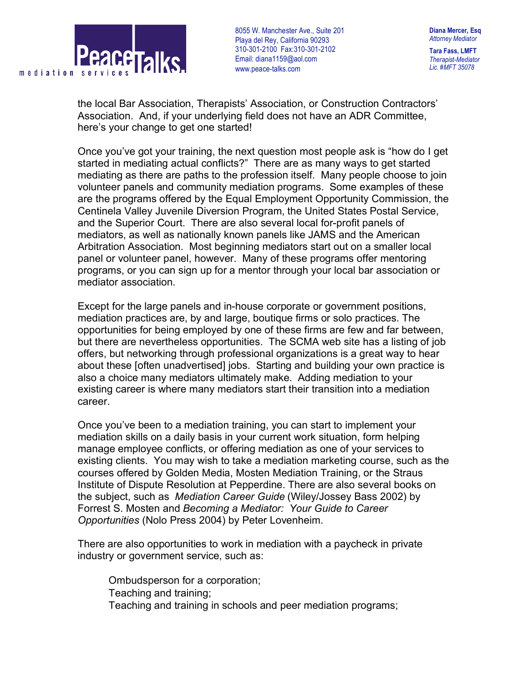

**Tara Fass, LMFT** *Therapist-Mediator Lic. #MFT 35078*

the local Bar Association, Therapists' Association, or Construction Contractors' Association. And, if your underlying field does not have an ADR Committee, here's your change to get one started!

Once you've got your training, the next question most people ask is "how do I get started in mediating actual conflicts?" There are as many ways to get started mediating as there are paths to the profession itself. Many people choose to join volunteer panels and community mediation programs. Some examples of these are the programs offered by the Equal Employment Opportunity Commission, the Centinela Valley Juvenile Diversion Program, the United States Postal Service, and the Superior Court. There are also several local for-profit panels of mediators, as well as nationally known panels like JAMS and the American Arbitration Association. Most beginning mediators start out on a smaller local panel or volunteer panel, however. Many of these programs offer mentoring programs, or you can sign up for a mentor through your local bar association or mediator association.

Except for the large panels and in-house corporate or government positions, mediation practices are, by and large, boutique firms or solo practices. The opportunities for being employed by one of these firms are few and far between, but there are nevertheless opportunities. The SCMA web site has a listing of job offers, but networking through professional organizations is a great way to hear about these [often unadvertised] jobs. Starting and building your own practice is also a choice many mediators ultimately make. Adding mediation to your existing career is where many mediators start their transition into a mediation career.

Once you've been to a mediation training, you can start to implement your mediation skills on a daily basis in your current work situation, form helping manage employee conflicts, or offering mediation as one of your services to existing clients. You may wish to take a mediation marketing course, such as the courses offered by Golden Media, Mosten Mediation Training, or the Straus Institute of Dispute Resolution at Pepperdine. There are also several books on the subject, such as *Mediation Career Guide* (Wiley/Jossey Bass 2002) by Forrest S. Mosten and *Becoming a Mediator: Your Guide to Career Opportunities* (Nolo Press 2004) by Peter Lovenheim.

There are also opportunities to work in mediation with a paycheck in private industry or government service, such as:

 Ombudsperson for a corporation; Teaching and training; Teaching and training in schools and peer mediation programs;